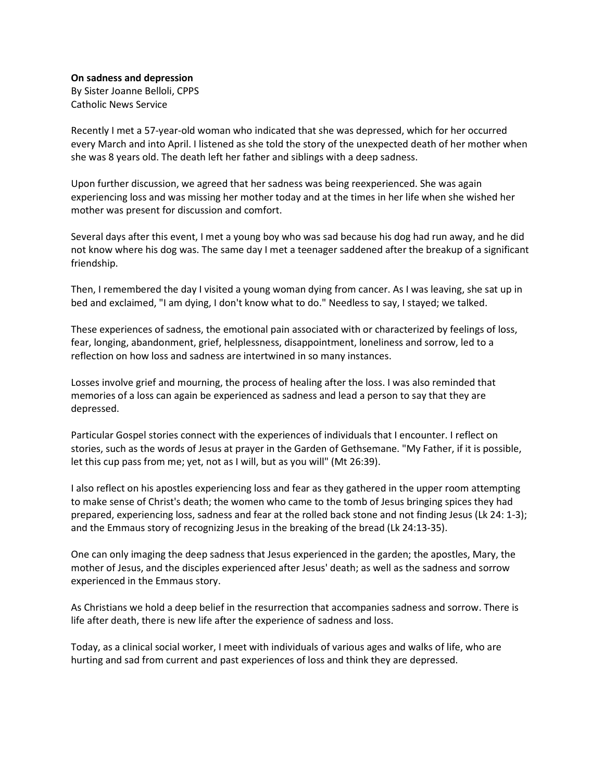On sadness and depression By Sister Joanne Belloli, CPPS Catholic News Service

Recently I met a 57-year-old woman who indicated that she was depressed, which for her occurred every March and into April. I listened as she told the story of the unexpected death of her mother when she was 8 years old. The death left her father and siblings with a deep sadness.

Upon further discussion, we agreed that her sadness was being reexperienced. She was again experiencing loss and was missing her mother today and at the times in her life when she wished her mother was present for discussion and comfort.

Several days after this event, I met a young boy who was sad because his dog had run away, and he did not know where his dog was. The same day I met a teenager saddened after the breakup of a significant friendship.

Then, I remembered the day I visited a young woman dying from cancer. As I was leaving, she sat up in bed and exclaimed, "I am dying, I don't know what to do." Needless to say, I stayed; we talked.

These experiences of sadness, the emotional pain associated with or characterized by feelings of loss, fear, longing, abandonment, grief, helplessness, disappointment, loneliness and sorrow, led to a reflection on how loss and sadness are intertwined in so many instances.

Losses involve grief and mourning, the process of healing after the loss. I was also reminded that memories of a loss can again be experienced as sadness and lead a person to say that they are depressed.

Particular Gospel stories connect with the experiences of individuals that I encounter. I reflect on stories, such as the words of Jesus at prayer in the Garden of Gethsemane. "My Father, if it is possible, let this cup pass from me; yet, not as I will, but as you will" (Mt 26:39).

I also reflect on his apostles experiencing loss and fear as they gathered in the upper room attempting to make sense of Christ's death; the women who came to the tomb of Jesus bringing spices they had prepared, experiencing loss, sadness and fear at the rolled back stone and not finding Jesus (Lk 24: 1-3); and the Emmaus story of recognizing Jesus in the breaking of the bread (Lk 24:13-35).

One can only imaging the deep sadness that Jesus experienced in the garden; the apostles, Mary, the mother of Jesus, and the disciples experienced after Jesus' death; as well as the sadness and sorrow experienced in the Emmaus story.

As Christians we hold a deep belief in the resurrection that accompanies sadness and sorrow. There is life after death, there is new life after the experience of sadness and loss.

Today, as a clinical social worker, I meet with individuals of various ages and walks of life, who are hurting and sad from current and past experiences of loss and think they are depressed.